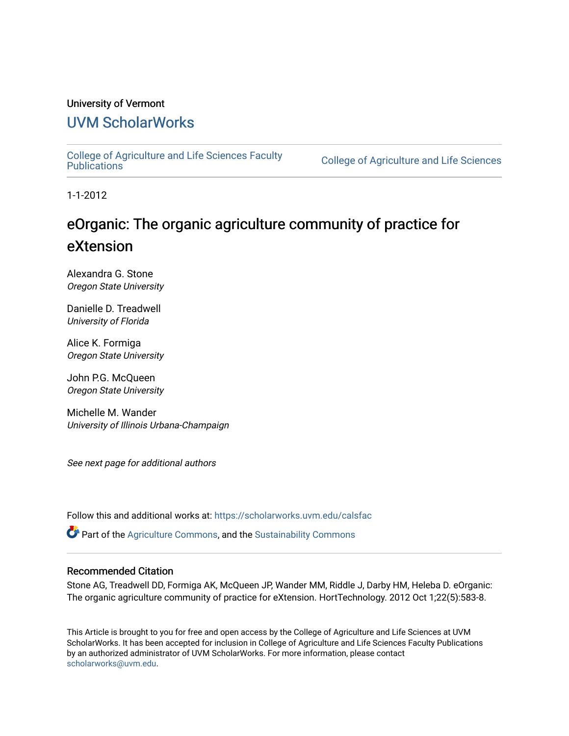# University of Vermont

# [UVM ScholarWorks](https://scholarworks.uvm.edu/)

[College of Agriculture and Life Sciences Faculty](https://scholarworks.uvm.edu/calsfac) 

**College of Agriculture and Life Sciences** 

1-1-2012

# eOrganic: The organic agriculture community of practice for eXtension

Alexandra G. Stone Oregon State University

Danielle D. Treadwell University of Florida

Alice K. Formiga Oregon State University

John P.G. McQueen Oregon State University

Michelle M. Wander University of Illinois Urbana-Champaign

See next page for additional authors

Follow this and additional works at: [https://scholarworks.uvm.edu/calsfac](https://scholarworks.uvm.edu/calsfac?utm_source=scholarworks.uvm.edu%2Fcalsfac%2F163&utm_medium=PDF&utm_campaign=PDFCoverPages)

**P** Part of the [Agriculture Commons](http://network.bepress.com/hgg/discipline/1076?utm_source=scholarworks.uvm.edu%2Fcalsfac%2F163&utm_medium=PDF&utm_campaign=PDFCoverPages), and the Sustainability Commons

#### Recommended Citation

Stone AG, Treadwell DD, Formiga AK, McQueen JP, Wander MM, Riddle J, Darby HM, Heleba D. eOrganic: The organic agriculture community of practice for eXtension. HortTechnology. 2012 Oct 1;22(5):583-8.

This Article is brought to you for free and open access by the College of Agriculture and Life Sciences at UVM ScholarWorks. It has been accepted for inclusion in College of Agriculture and Life Sciences Faculty Publications by an authorized administrator of UVM ScholarWorks. For more information, please contact [scholarworks@uvm.edu](mailto:scholarworks@uvm.edu).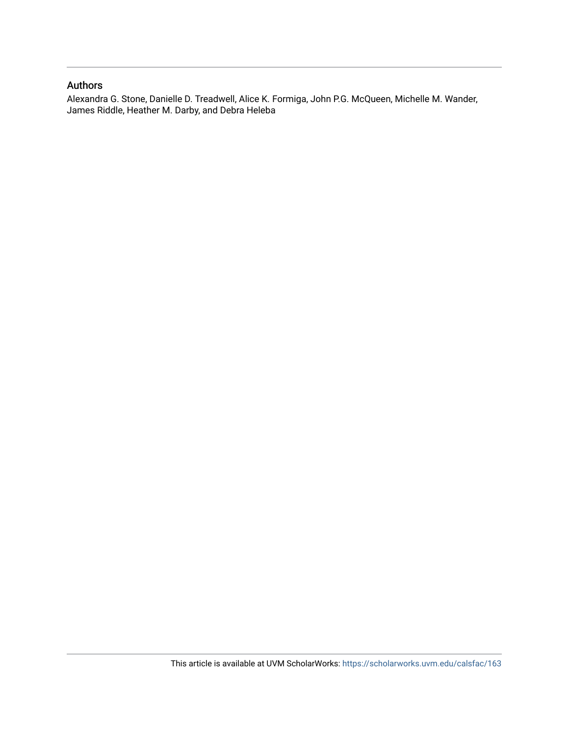#### Authors

Alexandra G. Stone, Danielle D. Treadwell, Alice K. Formiga, John P.G. McQueen, Michelle M. Wander, James Riddle, Heather M. Darby, and Debra Heleba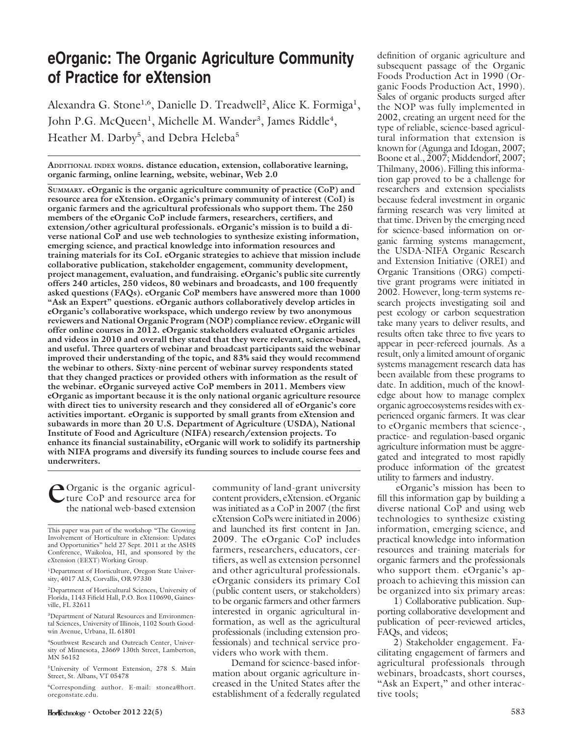# eOrganic: The Organic Agriculture Community of Practice for eXtension

Alexandra G. Stone<sup>1,6</sup>, Danielle D. Treadwell<sup>2</sup>, Alice K. Formiga<sup>1</sup>, John P.G. McQueen<sup>1</sup>, Michelle M. Wander<sup>3</sup>, James Riddle<sup>4</sup>, Heather M. Darby<sup>5</sup>, and Debra Heleba<sup>5</sup>

ADDITIONAL INDEX WORDS. distance education, extension, collaborative learning, organic farming, online learning, website, webinar, Web 2.0

SUMMARY. eOrganic is the organic agriculture community of practice (CoP) and resource area for eXtension. eOrganic's primary community of interest (CoI) is organic farmers and the agricultural professionals who support them. The 250 members of the eOrganic CoP include farmers, researchers, certifiers, and extension/other agricultural professionals. eOrganic's mission is to build a diverse national  $Co\overline{P}$  and use web technologies to synthesize existing information, emerging science, and practical knowledge into information resources and training materials for its CoI. eOrganic strategies to achieve that mission include collaborative publication, stakeholder engagement, community development, project management, evaluation, and fundraising. eOrganic's public site currently offers 240 articles, 250 videos, 80 webinars and broadcasts, and 100 frequently asked questions (FAQs). eOrganic CoP members have answered more than 1000 "Ask an Expert" questions. eOrganic authors collaboratively develop articles in eOrganic's collaborative workspace, which undergo review by two anonymous reviewers and National Organic Program (NOP) compliance review. eOrganic will offer online courses in 2012. eOrganic stakeholders evaluated eOrganic articles and videos in 2010 and overall they stated that they were relevant, science-based, and useful. Three quarters of webinar and broadcast participants said the webinar improved their understanding of the topic, and 83% said they would recommend the webinar to others. Sixty-nine percent of webinar survey respondents stated that they changed practices or provided others with information as the result of the webinar. eOrganic surveyed active CoP members in 2011. Members view eOrganic as important because it is the only national organic agriculture resource with direct ties to university research and they considered all of eOrganic's core activities important. eOrganic is supported by small grants from eXtension and subawards in more than 20 U.S. Department of Agriculture (USDA), National Institute of Food and Agriculture (NIFA) research/extension projects. To enhance its financial sustainability, eOrganic will work to solidify its partnership with NIFA programs and diversify its funding sources to include course fees and underwriters.

**Organic is the organic agricul**ture CoP and resource area for the national web-based extension

3 Department of Natural Resources and Environmental Sciences, University of Illinois, 1102 South Goodwin Avenue, Urbana, IL 61801

4 Southwest Research and Outreach Center, University of Minnesota, 23669 130th Street, Lamberton, MN 56152

5 University of Vermont Extension, 278 S. Main Street, St. Albans, VT 05478

6 Corresponding author. E-mail: stonea@hort. oregonstate.edu.

 $\text{Horl}$ Echnology · October 2012 22(5) 583

community of land-grant university content providers, eXtension. eOrganic was initiated as a CoP in 2007 (the first eXtension CoPs were initiated in 2006) and launched its first content in Jan. 2009. The eOrganic CoP includes farmers, researchers, educators, certifiers, as well as extension personnel and other agricultural professionals. eOrganic considers its primary CoI (public content users, or stakeholders) to be organic farmers and other farmers interested in organic agricultural information, as well as the agricultural professionals (including extension professionals) and technical service providers who work with them.

Demand for science-based information about organic agriculture increased in the United States after the establishment of a federally regulated definition of organic agriculture and subsequent passage of the Organic Foods Production Act in 1990 (Organic Foods Production Act, 1990). Sales of organic products surged after the NOP was fully implemented in 2002, creating an urgent need for the type of reliable, science-based agricultural information that extension is known for (Agunga and Idogan, 2007; Boone et al., 2007; Middendorf, 2007; Thilmany, 2006). Filling this information gap proved to be a challenge for researchers and extension specialists because federal investment in organic farming research was very limited at that time. Driven by the emerging need for science-based information on organic farming systems management, the USDA-NIFA Organic Research and Extension Initiative (OREI) and Organic Transitions (ORG) competitive grant programs were initiated in 2002. However, long-term systems research projects investigating soil and pest ecology or carbon sequestration take many years to deliver results, and results often take three to five years to appear in peer-refereed journals. As a result, only a limited amount of organic systems management research data has been available from these programs to date. In addition, much of the knowledge about how to manage complex organic agroecosystems resides with experienced organic farmers. It was clear to eOrganic members that science-, practice- and regulation-based organic agriculture information must be aggregated and integrated to most rapidly produce information of the greatest utility to farmers and industry.

eOrganic's mission has been to fill this information gap by building a diverse national CoP and using web technologies to synthesize existing information, emerging science, and practical knowledge into information resources and training materials for organic farmers and the professionals who support them. eOrganic's approach to achieving this mission can be organized into six primary areas:

1) Collaborative publication. Supporting collaborative development and publication of peer-reviewed articles, FAQs, and videos;

2) Stakeholder engagement. Facilitating engagement of farmers and agricultural professionals through webinars, broadcasts, short courses, "Ask an Expert," and other interactive tools;

This paper was part of the workshop "The Growing Involvement of Horticulture in eXtension: Updates and Opportunities'' held 27 Sept. 2011 at the ASHS Conference, Waikoloa, HI, and sponsored by the eXtension (EEXT) Working Group.

<sup>&</sup>lt;sup>1</sup>Department of Horticulture, Oregon State University, 4017 ALS, Corvallis, OR 97330

<sup>2</sup> Department of Horticultural Sciences, University of Florida, 1143 Fifield Hall, P.O. Box 110690, Gainesville, FL 32611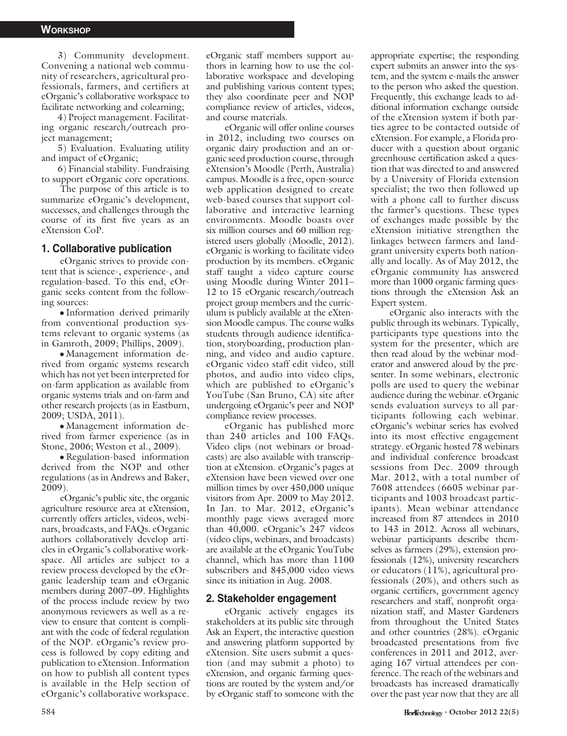3) Community development. Convening a national web community of researchers, agricultural professionals, farmers, and certifiers at eOrganic's collaborative workspace to facilitate networking and colearning;

4) Project management. Facilitating organic research/outreach project management;

5) Evaluation. Evaluating utility and impact of eOrganic;

6) Financial stability. Fundraising to support eOrganic core operations.

The purpose of this article is to summarize eOrganic's development, successes, and challenges through the course of its first five years as an eXtension CoP.

#### 1. Collaborative publication

eOrganic strives to provide content that is science-, experience-, and regulation-based. To this end, eOrganic seeks content from the following sources:

- Information derived primarily from conventional production systems relevant to organic systems (as in Gamroth, 2009; Phillips, 2009).

- Management information derived from organic systems research which has not yet been interpreted for on-farm application as available from organic systems trials and on-farm and other research projects (as in Eastburn, 2009; USDA, 2011).

- Management information derived from farmer experience (as in Stone, 2006; Weston et al., 2009).

- Regulation-based information derived from the NOP and other regulations (as in Andrews and Baker, 2009).

eOrganic's public site, the organic agriculture resource area at eXtension, currently offers articles, videos, webinars, broadcasts, and FAQs. eOrganic authors collaboratively develop articles in eOrganic's collaborative workspace. All articles are subject to a review process developed by the eOrganic leadership team and eOrganic members during 2007–09. Highlights of the process include review by two anonymous reviewers as well as a review to ensure that content is compliant with the code of federal regulation of the NOP. eOrganic's review process is followed by copy editing and publication to eXtension. Information on how to publish all content types is available in the Help section of eOrganic's collaborative workspace.

eOrganic staff members support authors in learning how to use the collaborative workspace and developing and publishing various content types; they also coordinate peer and NOP compliance review of articles, videos, and course materials.

eOrganic will offer online courses in 2012, including two courses on organic dairy production and an organic seed production course, through eXtension's Moodle (Perth, Australia) campus. Moodle is a free, open-source web application designed to create web-based courses that support collaborative and interactive learning environments. Moodle boasts over six million courses and 60 million registered users globally (Moodle, 2012). eOrganic is working to facilitate video production by its members. eOrganic staff taught a video capture course using Moodle during Winter 2011– 12 to 15 eOrganic research/outreach project group members and the curriculum is publicly available at the eXtension Moodle campus. The course walks students through audience identification, storyboarding, production planning, and video and audio capture. eOrganic video staff edit video, still photos, and audio into video clips, which are published to eOrganic's YouTube (San Bruno, CA) site after undergoing eOrganic's peer and NOP compliance review processes.

eOrganic has published more than 240 articles and 100 FAQs. Video clips (not webinars or broadcasts) are also available with transcription at eXtension. eOrganic's pages at eXtension have been viewed over one million times by over 450,000 unique visitors from Apr. 2009 to May 2012. In Jan. to Mar. 2012, eOrganic's monthly page views averaged more than 40,000. eOrganic's 247 videos (video clips, webinars, and broadcasts) are available at the eOrganic YouTube channel, which has more than 1100 subscribers and 845,000 video views since its initiation in Aug. 2008.

#### 2. Stakeholder engagement

eOrganic actively engages its stakeholders at its public site through Ask an Expert, the interactive question and answering platform supported by eXtension. Site users submit a question (and may submit a photo) to eXtension, and organic farming questions are routed by the system and/or by eOrganic staff to someone with the

appropriate expertise; the responding expert submits an answer into the system, and the system e-mails the answer to the person who asked the question. Frequently, this exchange leads to additional information exchange outside of the eXtension system if both parties agree to be contacted outside of eXtension. For example, a Florida producer with a question about organic greenhouse certification asked a question that was directed to and answered by a University of Florida extension specialist; the two then followed up with a phone call to further discuss the farmer's questions. These types of exchanges made possible by the eXtension initiative strengthen the linkages between farmers and landgrant university experts both nationally and locally. As of May 2012, the eOrganic community has answered more than 1000 organic farming questions through the eXtension Ask an Expert system.

eOrganic also interacts with the public through its webinars. Typically, participants type questions into the system for the presenter, which are then read aloud by the webinar moderator and answered aloud by the presenter. In some webinars, electronic polls are used to query the webinar audience during the webinar. eOrganic sends evaluation surveys to all participants following each webinar. eOrganic's webinar series has evolved into its most effective engagement strategy. eOrganic hosted 78 webinars and individual conference broadcast sessions from Dec. 2009 through Mar. 2012, with a total number of 7608 attendees (6605 webinar participants and 1003 broadcast participants). Mean webinar attendance increased from 87 attendees in 2010 to 143 in 2012. Across all webinars, webinar participants describe themselves as farmers (29%), extension professionals (12%), university researchers or educators (11%), agricultural professionals (20%), and others such as organic certifiers, government agency researchers and staff, nonprofit organization staff, and Master Gardeners from throughout the United States and other countries (28%). eOrganic broadcasted presentations from five conferences in 2011 and 2012, averaging 167 virtual attendees per conference. The reach of the webinars and broadcasts has increased dramatically over the past year now that they are all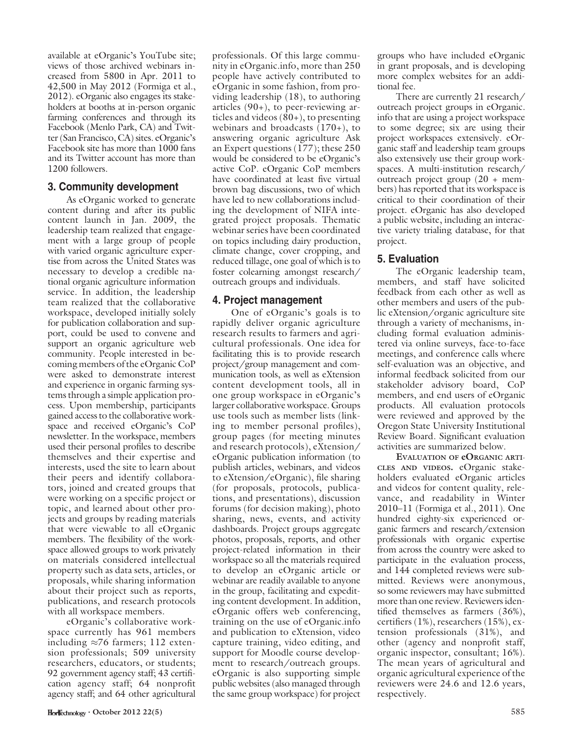available at eOrganic's YouTube site; views of those archived webinars increased from 5800 in Apr. 2011 to 42,500 in May 2012 (Formiga et al., 2012). eOrganic also engages its stakeholders at booths at in-person organic farming conferences and through its Facebook (Menlo Park, CA) and Twitter (San Francisco, CA) sites. eOrganic's Facebook site has more than 1000 fans and its Twitter account has more than 1200 followers.

## 3. Community development

As eOrganic worked to generate content during and after its public content launch in Jan. 2009, the leadership team realized that engagement with a large group of people with varied organic agriculture expertise from across the United States was necessary to develop a credible national organic agriculture information service. In addition, the leadership team realized that the collaborative workspace, developed initially solely for publication collaboration and support, could be used to convene and support an organic agriculture web community. People interested in becoming members of the eOrganic CoP were asked to demonstrate interest and experience in organic farming systems through a simple application process. Upon membership, participants gained access to the collaborative workspace and received eOrganic's CoP newsletter. In the workspace, members used their personal profiles to describe themselves and their expertise and interests, used the site to learn about their peers and identify collaborators, joined and created groups that were working on a specific project or topic, and learned about other projects and groups by reading materials that were viewable to all eOrganic members. The flexibility of the workspace allowed groups to work privately on materials considered intellectual property such as data sets, articles, or proposals, while sharing information about their project such as reports, publications, and research protocols with all workspace members.

eOrganic's collaborative workspace currently has 961 members including  $\approx 76$  farmers; 112 extension professionals; 509 university researchers, educators, or students; 92 government agency staff; 43 certification agency staff; 64 nonprofit agency staff; and 64 other agricultural

professionals. Of this large community in eOrganic.info, more than 250 people have actively contributed to eOrganic in some fashion, from providing leadership (18), to authoring articles  $(90+)$ , to peer-reviewing articles and videos  $(80+)$ , to presenting webinars and broadcasts  $(170+)$ , to answering organic agriculture Ask an Expert questions (177); these 250 would be considered to be eOrganic's active CoP. eOrganic CoP members have coordinated at least five virtual brown bag discussions, two of which have led to new collaborations including the development of NIFA integrated project proposals. Thematic webinar series have been coordinated on topics including dairy production, climate change, cover cropping, and reduced tillage, one goal of which is to foster colearning amongst research/ outreach groups and individuals.

## 4. Project management

One of eOrganic's goals is to rapidly deliver organic agriculture research results to farmers and agricultural professionals. One idea for facilitating this is to provide research project/group management and communication tools, as well as eXtension content development tools, all in one group workspace in eOrganic's larger collaborative workspace. Groups use tools such as member lists (linking to member personal profiles), group pages (for meeting minutes and research protocols), eXtension/ eOrganic publication information (to publish articles, webinars, and videos to eXtension/eOrganic), file sharing (for proposals, protocols, publications, and presentations), discussion forums (for decision making), photo sharing, news, events, and activity dashboards. Project groups aggregate photos, proposals, reports, and other project-related information in their workspace so all the materials required to develop an eOrganic article or webinar are readily available to anyone in the group, facilitating and expediting content development. In addition, eOrganic offers web conferencing, training on the use of eOrganic.info and publication to eXtension, video capture training, video editing, and support for Moodle course development to research/outreach groups. eOrganic is also supporting simple public websites (also managed through the same group workspace) for project

groups who have included eOrganic in grant proposals, and is developing more complex websites for an additional fee.

There are currently 21 research/ outreach project groups in eOrganic. info that are using a project workspace to some degree; six are using their project workspaces extensively. eOrganic staff and leadership team groups also extensively use their group workspaces. A multi-institution research/ outreach project group (20 + members) has reported that its workspace is critical to their coordination of their project. eOrganic has also developed a public website, including an interactive variety trialing database, for that project.

# 5. Evaluation

The eOrganic leadership team, members, and staff have solicited feedback from each other as well as other members and users of the public eXtension/organic agriculture site through a variety of mechanisms, including formal evaluation administered via online surveys, face-to-face meetings, and conference calls where self-evaluation was an objective, and informal feedback solicited from our stakeholder advisory board, CoP members, and end users of eOrganic products. All evaluation protocols were reviewed and approved by the Oregon State University Institutional Review Board. Significant evaluation activities are summarized below.

EVALUATION OF eORGANIC ARTI-CLES AND VIDEOS. eOrganic stakeholders evaluated eOrganic articles and videos for content quality, relevance, and readability in Winter 2010–11 (Formiga et al., 2011). One hundred eighty-six experienced organic farmers and research/extension professionals with organic expertise from across the country were asked to participate in the evaluation process, and 144 completed reviews were submitted. Reviews were anonymous, so some reviewers may have submitted more than one review. Reviewers identified themselves as farmers (36%), certifiers (1%), researchers (15%), extension professionals (31%), and other (agency and nonprofit staff, organic inspector, consultant; 16%). The mean years of agricultural and organic agricultural experience of the reviewers were 24.6 and 12.6 years, respectively.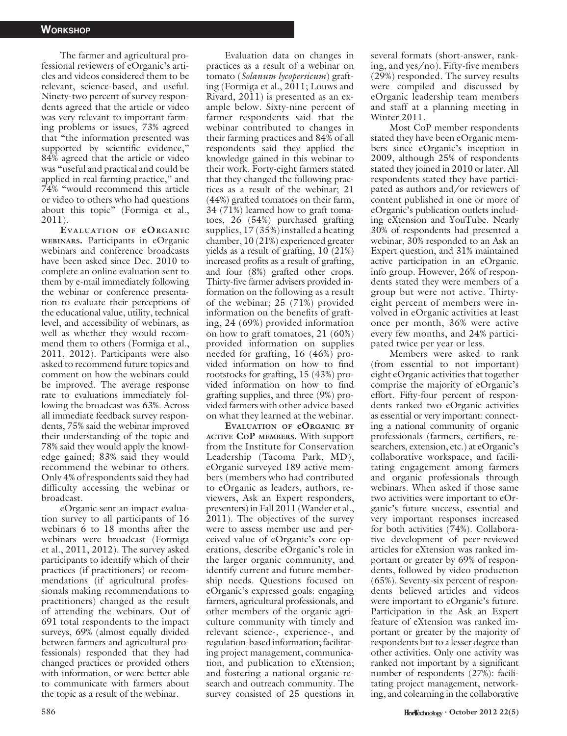The farmer and agricultural professional reviewers of eOrganic's articles and videos considered them to be relevant, science-based, and useful. Ninety-two percent of survey respondents agreed that the article or video was very relevant to important farming problems or issues, 73% agreed that ''the information presented was supported by scientific evidence," 84% agreed that the article or video was ''useful and practical and could be applied in real farming practice,'' and 74% ''would recommend this article or video to others who had questions about this topic'' (Formiga et al., 2011).

EVALUATION OF eORGANIC WEBINARS. Participants in eOrganic webinars and conference broadcasts have been asked since Dec. 2010 to complete an online evaluation sent to them by e-mail immediately following the webinar or conference presentation to evaluate their perceptions of the educational value, utility, technical level, and accessibility of webinars, as well as whether they would recommend them to others (Formiga et al., 2011, 2012). Participants were also asked to recommend future topics and comment on how the webinars could be improved. The average response rate to evaluations immediately following the broadcast was 63%. Across all immediate feedback survey respondents, 75% said the webinar improved their understanding of the topic and 78% said they would apply the knowledge gained; 83% said they would recommend the webinar to others. Only 4% of respondents said they had difficulty accessing the webinar or broadcast.

eOrganic sent an impact evaluation survey to all participants of 16 webinars 6 to 18 months after the webinars were broadcast (Formiga et al., 2011, 2012). The survey asked participants to identify which of their practices (if practitioners) or recommendations (if agricultural professionals making recommendations to practitioners) changed as the result of attending the webinars. Out of 691 total respondents to the impact surveys, 69% (almost equally divided between farmers and agricultural professionals) responded that they had changed practices or provided others with information, or were better able to communicate with farmers about the topic as a result of the webinar.

Evaluation data on changes in practices as a result of a webinar on tomato (Solanum lycopersicum) grafting (Formiga et al., 2011; Louws and Rivard, 2011) is presented as an example below. Sixty-nine percent of farmer respondents said that the webinar contributed to changes in their farming practices and 84% of all respondents said they applied the knowledge gained in this webinar to their work. Forty-eight farmers stated that they changed the following practices as a result of the webinar; 21 (44%) grafted tomatoes on their farm, 34 (71%) learned how to graft tomatoes, 26 (54%) purchased grafting supplies, 17 (35%) installed a heating chamber, 10 (21%) experienced greater yields as a result of grafting, 10 (21%) increased profits as a result of grafting, and four (8%) grafted other crops. Thirty-five farmer advisers provided information on the following as a result of the webinar; 25 (71%) provided information on the benefits of grafting, 24 (69%) provided information on how to graft tomatoes, 21 (60%) provided information on supplies needed for grafting, 16 (46%) provided information on how to find rootstocks for grafting, 15 (43%) provided information on how to find grafting supplies, and three (9%) provided farmers with other advice based on what they learned at the webinar.

EVALUATION OF eORGANIC BY ACTIVE COP MEMBERS. With support from the Institute for Conservation Leadership (Tacoma Park, MD), eOrganic surveyed 189 active members (members who had contributed to eOrganic as leaders, authors, reviewers, Ask an Expert responders, presenters) in Fall 2011 (Wander et al., 2011). The objectives of the survey were to assess member use and perceived value of eOrganic's core operations, describe eOrganic's role in the larger organic community, and identify current and future membership needs. Questions focused on eOrganic's expressed goals: engaging farmers, agricultural professionals, and other members of the organic agriculture community with timely and relevant science-, experience-, and regulation-based information; facilitating project management, communication, and publication to eXtension; and fostering a national organic research and outreach community. The survey consisted of 25 questions in several formats (short-answer, ranking, and yes/no). Fifty-five members (29%) responded. The survey results were compiled and discussed by eOrganic leadership team members and staff at a planning meeting in Winter 2011.

Most CoP member respondents stated they have been eOrganic members since eOrganic's inception in 2009, although 25% of respondents stated they joined in 2010 or later. All respondents stated they have participated as authors and/or reviewers of content published in one or more of eOrganic's publication outlets including eXtension and YouTube. Nearly 30% of respondents had presented a webinar, 30% responded to an Ask an Expert question, and 31% maintained active participation in an eOrganic. info group. However, 26% of respondents stated they were members of a group but were not active. Thirtyeight percent of members were involved in eOrganic activities at least once per month, 36% were active every few months, and 24% participated twice per year or less.

Members were asked to rank (from essential to not important) eight eOrganic activities that together comprise the majority of eOrganic's effort. Fifty-four percent of respondents ranked two eOrganic activities as essential or very important: connecting a national community of organic professionals (farmers, certifiers, researchers, extension, etc.) at eOrganic's collaborative workspace, and facilitating engagement among farmers and organic professionals through webinars. When asked if those same two activities were important to eOrganic's future success, essential and very important responses increased for both activities (74%). Collaborative development of peer-reviewed articles for eXtension was ranked important or greater by 69% of respondents, followed by video production (65%). Seventy-six percent of respondents believed articles and videos were important to eOrganic's future. Participation in the Ask an Expert feature of eXtension was ranked important or greater by the majority of respondents but to a lesser degree than other activities. Only one activity was ranked not important by a significant number of respondents (27%): facilitating project management, networking, and colearning in the collaborative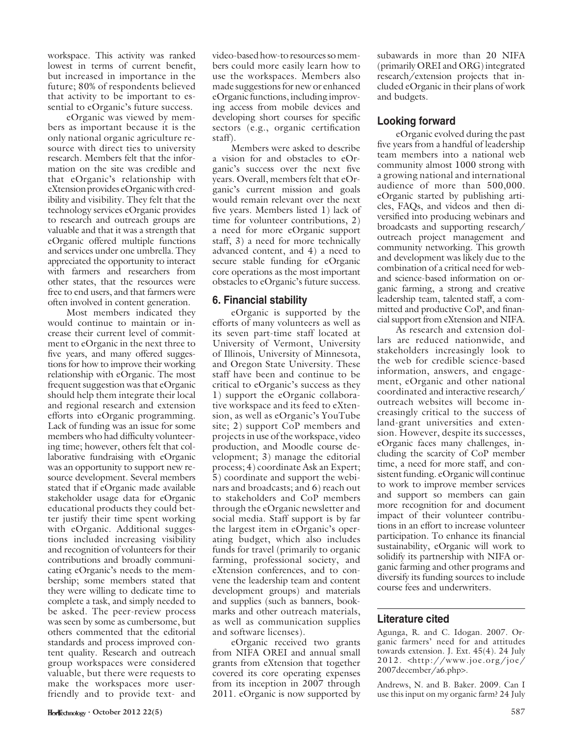workspace. This activity was ranked lowest in terms of current benefit, but increased in importance in the future; 80% of respondents believed that activity to be important to essential to eOrganic's future success.

eOrganic was viewed by members as important because it is the only national organic agriculture resource with direct ties to university research. Members felt that the information on the site was credible and that eOrganic's relationship with eXtension provides eOrganic with credibility and visibility. They felt that the technology services eOrganic provides to research and outreach groups are valuable and that it was a strength that eOrganic offered multiple functions and services under one umbrella. They appreciated the opportunity to interact with farmers and researchers from other states, that the resources were free to end users, and that farmers were often involved in content generation.

Most members indicated they would continue to maintain or increase their current level of commitment to eOrganic in the next three to five years, and many offered suggestions for how to improve their working relationship with eOrganic. The most frequent suggestion was that eOrganic should help them integrate their local and regional research and extension efforts into eOrganic programming. Lack of funding was an issue for some members who had difficulty volunteering time; however, others felt that collaborative fundraising with eOrganic was an opportunity to support new resource development. Several members stated that if eOrganic made available stakeholder usage data for eOrganic educational products they could better justify their time spent working with eOrganic. Additional suggestions included increasing visibility and recognition of volunteers for their contributions and broadly communicating eOrganic's needs to the membership; some members stated that they were willing to dedicate time to complete a task, and simply needed to be asked. The peer-review process was seen by some as cumbersome, but others commented that the editorial standards and process improved content quality. Research and outreach group workspaces were considered valuable, but there were requests to make the workspaces more userfriendly and to provide text- and

video-based how-to resources so members could more easily learn how to use the workspaces. Members also made suggestions for new or enhanced eOrganic functions, including improving access from mobile devices and developing short courses for specific sectors (e.g., organic certification staff).

Members were asked to describe a vision for and obstacles to eOrganic's success over the next five years. Overall, members felt that eOrganic's current mission and goals would remain relevant over the next five years. Members listed 1) lack of time for volunteer contributions, 2) a need for more eOrganic support staff, 3) a need for more technically advanced content, and 4) a need to secure stable funding for eOrganic core operations as the most important obstacles to eOrganic's future success.

#### 6. Financial stability

eOrganic is supported by the efforts of many volunteers as well as its seven part-time staff located at University of Vermont, University of Illinois, University of Minnesota, and Oregon State University. These staff have been and continue to be critical to eOrganic's success as they 1) support the eOrganic collaborative workspace and its feed to eXtension, as well as eOrganic's YouTube site; 2) support CoP members and projects in use of the workspace, video production, and Moodle course development; 3) manage the editorial process; 4) coordinate Ask an Expert; 5) coordinate and support the webinars and broadcasts; and 6) reach out to stakeholders and CoP members through the eOrganic newsletter and social media. Staff support is by far the largest item in eOrganic's operating budget, which also includes funds for travel (primarily to organic farming, professional society, and eXtension conferences, and to convene the leadership team and content development groups) and materials and supplies (such as banners, bookmarks and other outreach materials, as well as communication supplies and software licenses).

eOrganic received two grants from NIFA OREI and annual small grants from eXtension that together covered its core operating expenses from its inception in 2007 through 2011. eOrganic is now supported by

subawards in more than 20 NIFA (primarily OREI and ORG) integrated research/extension projects that included eOrganic in their plans of work and budgets.

# Looking forward

eOrganic evolved during the past five years from a handful of leadership team members into a national web community almost 1000 strong with a growing national and international audience of more than 500,000. eOrganic started by publishing articles, FAQs, and videos and then diversified into producing webinars and broadcasts and supporting research/ outreach project management and community networking. This growth and development was likely due to the combination of a critical need for weband science-based information on organic farming, a strong and creative leadership team, talented staff, a committed and productive CoP, and financial support from eXtension and NIFA.

As research and extension dollars are reduced nationwide, and stakeholders increasingly look to the web for credible science-based information, answers, and engagement, eOrganic and other national coordinated and interactive research/ outreach websites will become increasingly critical to the success of land-grant universities and extension. However, despite its successes, eOrganic faces many challenges, including the scarcity of CoP member time, a need for more staff, and consistent funding. eOrganic will continue to work to improve member services and support so members can gain more recognition for and document impact of their volunteer contributions in an effort to increase volunteer participation. To enhance its financial sustainability, eOrganic will work to solidify its partnership with NIFA organic farming and other programs and diversify its funding sources to include course fees and underwriters.

## Literature cited

Agunga, R. and C. Idogan. 2007. Organic farmers' need for and attitudes towards extension. J. Ext. 45(4). 24 July 2012. <http://www.joe.org/joe/ 2007december/a6.php>.

Andrews, N. and B. Baker. 2009. Can I use this input on my organic farm? 24 July